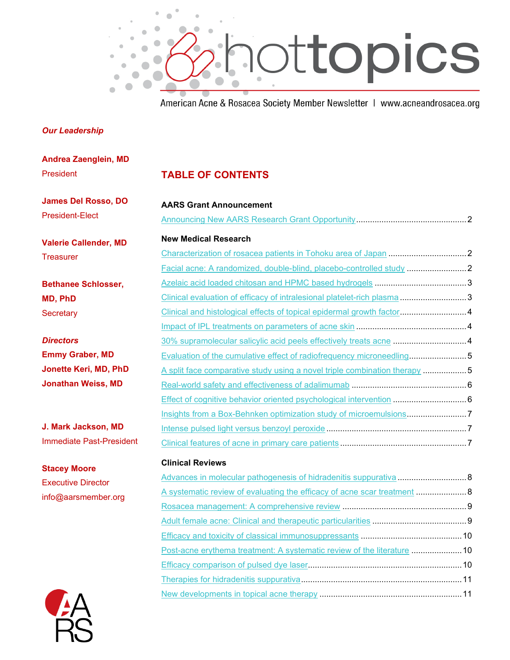

American Acne & Rosacea Society Member Newsletter | www.acneandrosacea.org

#### *Our Leadership*

President

**Stacey Moore** Executive Director info@aarsmember.org

**Andrea Zaenglein, MD**

| President                       | <b>TABLE OF CONTENTS</b>                                                  |  |
|---------------------------------|---------------------------------------------------------------------------|--|
| <b>James Del Rosso, DO</b>      | <b>AARS Grant Announcement</b>                                            |  |
| <b>President-Elect</b>          |                                                                           |  |
| <b>Valerie Callender, MD</b>    | <b>New Medical Research</b>                                               |  |
| <b>Treasurer</b>                |                                                                           |  |
|                                 | Facial acne: A randomized, double-blind, placebo-controlled study 2       |  |
| <b>Bethanee Schlosser,</b>      |                                                                           |  |
| <b>MD, PhD</b>                  | Clinical evaluation of efficacy of intralesional platelet-rich plasma 3   |  |
| Secretary                       | Clinical and histological effects of topical epidermal growth factor4     |  |
|                                 |                                                                           |  |
| <b>Directors</b>                | 30% supramolecular salicylic acid peels effectively treats acne  4        |  |
| <b>Emmy Graber, MD</b>          | Evaluation of the cumulative effect of radiofrequency microneedling5      |  |
| <b>Jonette Keri, MD, PhD</b>    | A split face comparative study using a novel triple combination therapy 5 |  |
| <b>Jonathan Weiss, MD</b>       |                                                                           |  |
|                                 | Effect of cognitive behavior oriented psychological intervention  6       |  |
|                                 | Insights from a Box-Behnken optimization study of microemulsions7         |  |
| J. Mark Jackson, MD             |                                                                           |  |
| <b>Immediate Past-President</b> |                                                                           |  |
|                                 |                                                                           |  |

#### **Clinical Reviews**

| Post-acne erythema treatment: A systematic review of the literature  10 |  |
|-------------------------------------------------------------------------|--|
|                                                                         |  |
|                                                                         |  |
|                                                                         |  |
|                                                                         |  |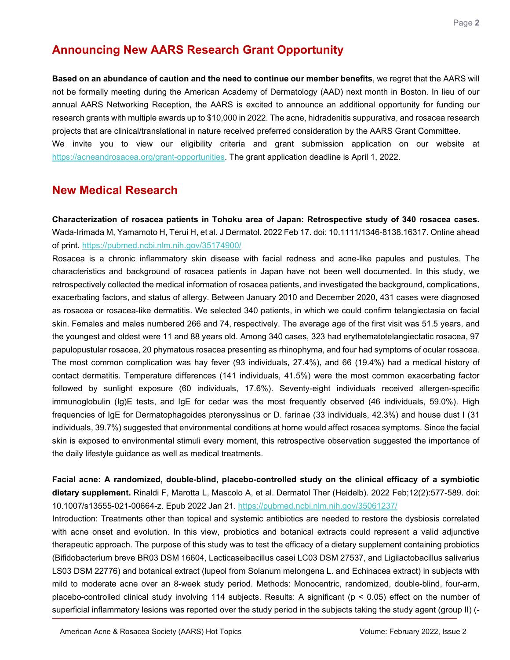# **Announcing New AARS Research Grant Opportunity**

<span id="page-1-0"></span>**Based on an abundance of caution and the need to continue our member benefits**, we regret that the AARS will not be formally meeting during the American Academy of Dermatology (AAD) next month in Boston. In lieu of our annual AARS Networking Reception, the AARS is excited to announce an additional opportunity for funding our research grants with multiple awards up to \$10,000 in 2022. The acne, hidradenitis suppurativa, and rosacea research projects that are clinical/translational in nature received preferred consideration by the AARS Grant Committee. We invite you to view our eligibility criteria and grant submission application on our website at [https://acneandrosacea.org/grant-opportunities.](https://acneandrosacea.org/grant-opportunities) The grant application deadline is April 1, 2022.

## **New Medical Research**

<span id="page-1-1"></span>**Characterization of rosacea patients in Tohoku area of Japan: Retrospective study of 340 rosacea cases.** Wada-Irimada M, Yamamoto H, Terui H, et al. J Dermatol. 2022 Feb 17. doi: 10.1111/1346-8138.16317. Online ahead of print.<https://pubmed.ncbi.nlm.nih.gov/35174900/>

Rosacea is a chronic inflammatory skin disease with facial redness and acne-like papules and pustules. The characteristics and background of rosacea patients in Japan have not been well documented. In this study, we retrospectively collected the medical information of rosacea patients, and investigated the background, complications, exacerbating factors, and status of allergy. Between January 2010 and December 2020, 431 cases were diagnosed as rosacea or rosacea-like dermatitis. We selected 340 patients, in which we could confirm telangiectasia on facial skin. Females and males numbered 266 and 74, respectively. The average age of the first visit was 51.5 years, and the youngest and oldest were 11 and 88 years old. Among 340 cases, 323 had erythematotelangiectatic rosacea, 97 papulopustular rosacea, 20 phymatous rosacea presenting as rhinophyma, and four had symptoms of ocular rosacea. The most common complication was hay fever (93 individuals, 27.4%), and 66 (19.4%) had a medical history of contact dermatitis. Temperature differences (141 individuals, 41.5%) were the most common exacerbating factor followed by sunlight exposure (60 individuals, 17.6%). Seventy-eight individuals received allergen-specific immunoglobulin (Ig)E tests, and IgE for cedar was the most frequently observed (46 individuals, 59.0%). High frequencies of IgE for Dermatophagoides pteronyssinus or D. farinae (33 individuals, 42.3%) and house dust I (31 individuals, 39.7%) suggested that environmental conditions at home would affect rosacea symptoms. Since the facial skin is exposed to environmental stimuli every moment, this retrospective observation suggested the importance of the daily lifestyle guidance as well as medical treatments.

<span id="page-1-2"></span>**Facial acne: A randomized, double-blind, placebo-controlled study on the clinical efficacy of a symbiotic dietary supplement.** Rinaldi F, Marotta L, Mascolo A, et al. Dermatol Ther (Heidelb). 2022 Feb;12(2):577-589. doi: 10.1007/s13555-021-00664-z. Epub 2022 Jan 21.<https://pubmed.ncbi.nlm.nih.gov/35061237/>

Introduction: Treatments other than topical and systemic antibiotics are needed to restore the dysbiosis correlated with acne onset and evolution. In this view, probiotics and botanical extracts could represent a valid adjunctive therapeutic approach. The purpose of this study was to test the efficacy of a dietary supplement containing probiotics (Bifidobacterium breve BR03 DSM 16604, Lacticaseibacillus casei LC03 DSM 27537, and Ligilactobacillus salivarius LS03 DSM 22776) and botanical extract (lupeol from Solanum melongena L. and Echinacea extract) in subjects with mild to moderate acne over an 8-week study period. Methods: Monocentric, randomized, double-blind, four-arm, placebo-controlled clinical study involving 114 subjects. Results: A significant (p < 0.05) effect on the number of superficial inflammatory lesions was reported over the study period in the subjects taking the study agent (group II) (-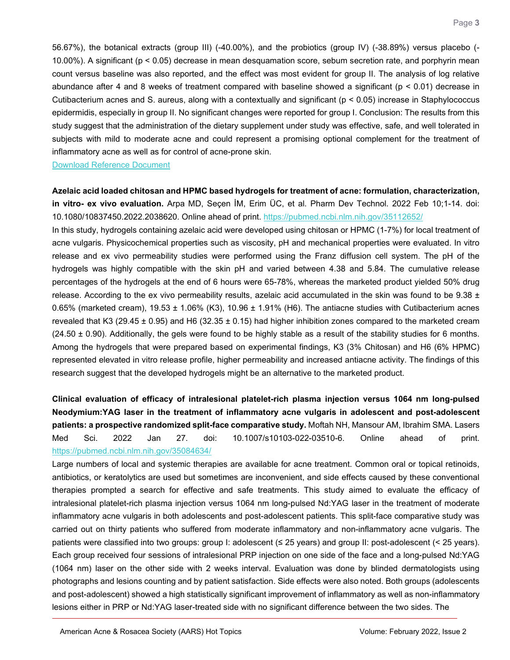56.67%), the botanical extracts (group III) (-40.00%), and the probiotics (group IV) (-38.89%) versus placebo (- 10.00%). A significant (p < 0.05) decrease in mean desquamation score, sebum secretion rate, and porphyrin mean count versus baseline was also reported, and the effect was most evident for group II. The analysis of log relative abundance after 4 and 8 weeks of treatment compared with baseline showed a significant (p < 0.01) decrease in Cutibacterium acnes and S. aureus, along with a contextually and significant (p < 0.05) increase in Staphylococcus epidermidis, especially in group II. No significant changes were reported for group I. Conclusion: The results from this study suggest that the administration of the dietary supplement under study was effective, safe, and well tolerated in subjects with mild to moderate acne and could represent a promising optional complement for the treatment of inflammatory acne as well as for control of acne-prone skin.

#### [Download Reference Document](https://files.constantcontact.com/c2fa20d1101/2bc824bd-be7d-4405-b5d3-066b26b78fd8.pdf?rdr=true)

### <span id="page-2-0"></span>**Azelaic acid loaded chitosan and HPMC based hydrogels for treatment of acne: formulation, characterization, in vitro- ex vivo evaluation.** Arpa MD, Seçen İM, Erim ÜC, et al. Pharm Dev Technol. 2022 Feb 10;1-14. doi: 10.1080/10837450.2022.2038620. Online ahead of print.<https://pubmed.ncbi.nlm.nih.gov/35112652/>

In this study, hydrogels containing azelaic acid were developed using chitosan or HPMC (1-7%) for local treatment of acne vulgaris. Physicochemical properties such as viscosity, pH and mechanical properties were evaluated. In vitro release and ex vivo permeability studies were performed using the Franz diffusion cell system. The pH of the hydrogels was highly compatible with the skin pH and varied between 4.38 and 5.84. The cumulative release percentages of the hydrogels at the end of 6 hours were 65-78%, whereas the marketed product yielded 50% drug release. According to the ex vivo permeability results, azelaic acid accumulated in the skin was found to be  $9.38 \pm$ 0.65% (marketed cream),  $19.53 \pm 1.06\%$  (K3),  $10.96 \pm 1.91\%$  (H6). The antiacne studies with Cutibacterium acnes revealed that K3 (29.45  $\pm$  0.95) and H6 (32.35  $\pm$  0.15) had higher inhibition zones compared to the marketed cream  $(24.50 \pm 0.90)$ . Additionally, the gels were found to be highly stable as a result of the stability studies for 6 months. Among the hydrogels that were prepared based on experimental findings, K3 (3% Chitosan) and H6 (6% HPMC) represented elevated in vitro release profile, higher permeability and increased antiacne activity. The findings of this research suggest that the developed hydrogels might be an alternative to the marketed product.

## <span id="page-2-1"></span>**Clinical evaluation of efficacy of intralesional platelet-rich plasma injection versus 1064 nm long-pulsed Neodymium:YAG laser in the treatment of inflammatory acne vulgaris in adolescent and post-adolescent patients: a prospective randomized split-face comparative study.** Moftah NH, Mansour AM, Ibrahim SMA. Lasers Med Sci. 2022 Jan 27. doi: 10.1007/s10103-022-03510-6. Online ahead of print. <https://pubmed.ncbi.nlm.nih.gov/35084634/>

Large numbers of local and systemic therapies are available for acne treatment. Common oral or topical retinoids, antibiotics, or keratolytics are used but sometimes are inconvenient, and side effects caused by these conventional therapies prompted a search for effective and safe treatments. This study aimed to evaluate the efficacy of intralesional platelet-rich plasma injection versus 1064 nm long-pulsed Nd:YAG laser in the treatment of moderate inflammatory acne vulgaris in both adolescents and post-adolescent patients. This split-face comparative study was carried out on thirty patients who suffered from moderate inflammatory and non-inflammatory acne vulgaris. The patients were classified into two groups: group I: adolescent (≤ 25 years) and group II: post-adolescent (< 25 years). Each group received four sessions of intralesional PRP injection on one side of the face and a long-pulsed Nd:YAG (1064 nm) laser on the other side with 2 weeks interval. Evaluation was done by blinded dermatologists using photographs and lesions counting and by patient satisfaction. Side effects were also noted. Both groups (adolescents and post-adolescent) showed a high statistically significant improvement of inflammatory as well as non-inflammatory lesions either in PRP or Nd:YAG laser-treated side with no significant difference between the two sides. The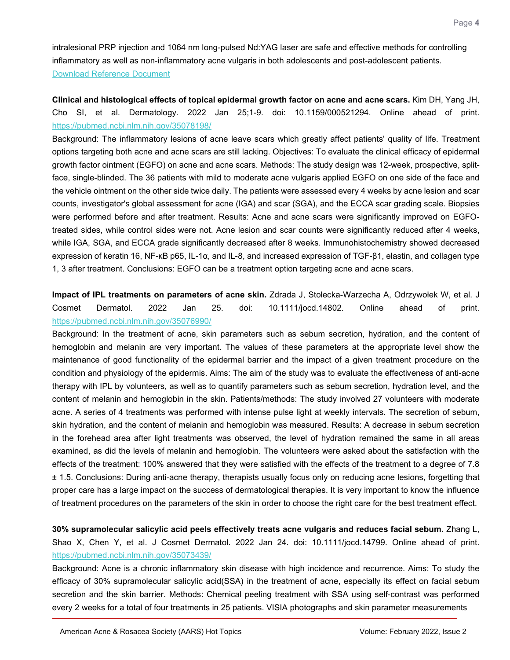intralesional PRP injection and 1064 nm long-pulsed Nd:YAG laser are safe and effective methods for controlling inflammatory as well as non-inflammatory acne vulgaris in both adolescents and post-adolescent patients. [Download Reference Document](https://files.constantcontact.com/c2fa20d1101/8f2a2718-cf65-46b4-83e3-ec1a7a5278aa.pdf?rdr=true)

<span id="page-3-0"></span>**Clinical and histological effects of topical epidermal growth factor on acne and acne scars.** Kim DH, Yang JH, Cho SI, et al. Dermatology. 2022 Jan 25;1-9. doi: 10.1159/000521294. Online ahead of print. <https://pubmed.ncbi.nlm.nih.gov/35078198/>

Background: The inflammatory lesions of acne leave scars which greatly affect patients' quality of life. Treatment options targeting both acne and acne scars are still lacking. Objectives: To evaluate the clinical efficacy of epidermal growth factor ointment (EGFO) on acne and acne scars. Methods: The study design was 12-week, prospective, splitface, single-blinded. The 36 patients with mild to moderate acne vulgaris applied EGFO on one side of the face and the vehicle ointment on the other side twice daily. The patients were assessed every 4 weeks by acne lesion and scar counts, investigator's global assessment for acne (IGA) and scar (SGA), and the ECCA scar grading scale. Biopsies were performed before and after treatment. Results: Acne and acne scars were significantly improved on EGFOtreated sides, while control sides were not. Acne lesion and scar counts were significantly reduced after 4 weeks, while IGA, SGA, and ECCA grade significantly decreased after 8 weeks. Immunohistochemistry showed decreased expression of keratin 16, NF-κB p65, IL-1α, and IL-8, and increased expression of TGF-β1, elastin, and collagen type 1, 3 after treatment. Conclusions: EGFO can be a treatment option targeting acne and acne scars.

<span id="page-3-1"></span>**Impact of IPL treatments on parameters of acne skin.** Zdrada J, Stolecka-Warzecha A, Odrzywołek W, et al. J Cosmet Dermatol. 2022 Jan 25. doi: 10.1111/jocd.14802. Online ahead of print. <https://pubmed.ncbi.nlm.nih.gov/35076990/>

Background: In the treatment of acne, skin parameters such as sebum secretion, hydration, and the content of hemoglobin and melanin are very important. The values of these parameters at the appropriate level show the maintenance of good functionality of the epidermal barrier and the impact of a given treatment procedure on the condition and physiology of the epidermis. Aims: The aim of the study was to evaluate the effectiveness of anti-acne therapy with IPL by volunteers, as well as to quantify parameters such as sebum secretion, hydration level, and the content of melanin and hemoglobin in the skin. Patients/methods: The study involved 27 volunteers with moderate acne. A series of 4 treatments was performed with intense pulse light at weekly intervals. The secretion of sebum, skin hydration, and the content of melanin and hemoglobin was measured. Results: A decrease in sebum secretion in the forehead area after light treatments was observed, the level of hydration remained the same in all areas examined, as did the levels of melanin and hemoglobin. The volunteers were asked about the satisfaction with the effects of the treatment: 100% answered that they were satisfied with the effects of the treatment to a degree of 7.8 ± 1.5. Conclusions: During anti-acne therapy, therapists usually focus only on reducing acne lesions, forgetting that proper care has a large impact on the success of dermatological therapies. It is very important to know the influence of treatment procedures on the parameters of the skin in order to choose the right care for the best treatment effect.

<span id="page-3-2"></span>**30% supramolecular salicylic acid peels effectively treats acne vulgaris and reduces facial sebum.** Zhang L, Shao X, Chen Y, et al. J Cosmet Dermatol. 2022 Jan 24. doi: 10.1111/jocd.14799. Online ahead of print. <https://pubmed.ncbi.nlm.nih.gov/35073439/>

Background: Acne is a chronic inflammatory skin disease with high incidence and recurrence. Aims: To study the efficacy of 30% supramolecular salicylic acid(SSA) in the treatment of acne, especially its effect on facial sebum secretion and the skin barrier. Methods: Chemical peeling treatment with SSA using self-contrast was performed every 2 weeks for a total of four treatments in 25 patients. VISIA photographs and skin parameter measurements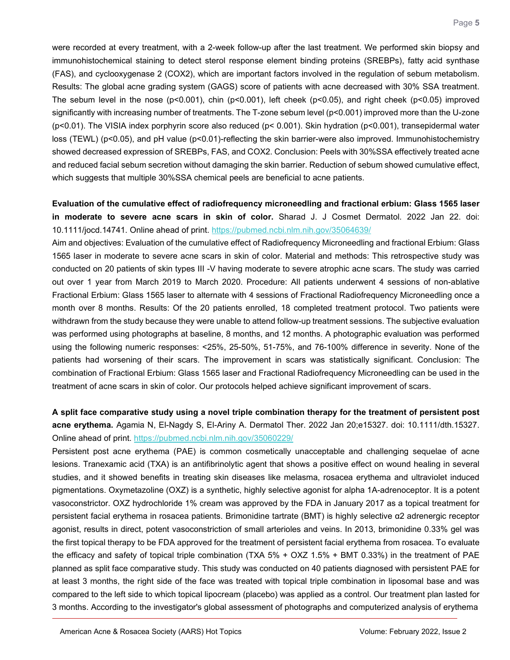were recorded at every treatment, with a 2-week follow-up after the last treatment. We performed skin biopsy and immunohistochemical staining to detect sterol response element binding proteins (SREBPs), fatty acid synthase (FAS), and cyclooxygenase 2 (COX2), which are important factors involved in the regulation of sebum metabolism. Results: The global acne grading system (GAGS) score of patients with acne decreased with 30% SSA treatment. The sebum level in the nose (p<0.001), chin (p<0.001), left cheek (p<0.05), and right cheek (p<0.05) improved significantly with increasing number of treatments. The T-zone sebum level (p<0.001) improved more than the U-zone (p<0.01). The VISIA index porphyrin score also reduced (p< 0.001). Skin hydration (p<0.001), transepidermal water loss (TEWL) (p<0.05), and pH value (p<0.01)-reflecting the skin barrier-were also improved. Immunohistochemistry showed decreased expression of SREBPs, FAS, and COX2. Conclusion: Peels with 30%SSA effectively treated acne and reduced facial sebum secretion without damaging the skin barrier. Reduction of sebum showed cumulative effect, which suggests that multiple 30%SSA chemical peels are beneficial to acne patients.

### <span id="page-4-0"></span>**Evaluation of the cumulative effect of radiofrequency microneedling and fractional erbium: Glass 1565 laser in moderate to severe acne scars in skin of color.** Sharad J. J Cosmet Dermatol. 2022 Jan 22. doi: 10.1111/jocd.14741. Online ahead of print.<https://pubmed.ncbi.nlm.nih.gov/35064639/>

Aim and objectives: Evaluation of the cumulative effect of Radiofrequency Microneedling and fractional Erbium: Glass 1565 laser in moderate to severe acne scars in skin of color. Material and methods: This retrospective study was conducted on 20 patients of skin types III -V having moderate to severe atrophic acne scars. The study was carried out over 1 year from March 2019 to March 2020. Procedure: All patients underwent 4 sessions of non-ablative Fractional Erbium: Glass 1565 laser to alternate with 4 sessions of Fractional Radiofrequency Microneedling once a month over 8 months. Results: Of the 20 patients enrolled, 18 completed treatment protocol. Two patients were withdrawn from the study because they were unable to attend follow-up treatment sessions. The subjective evaluation was performed using photographs at baseline, 8 months, and 12 months. A photographic evaluation was performed using the following numeric responses: <25%, 25-50%, 51-75%, and 76-100% difference in severity. None of the patients had worsening of their scars. The improvement in scars was statistically significant. Conclusion: The combination of Fractional Erbium: Glass 1565 laser and Fractional Radiofrequency Microneedling can be used in the treatment of acne scars in skin of color. Our protocols helped achieve significant improvement of scars.

## <span id="page-4-1"></span>**A split face comparative study using a novel triple combination therapy for the treatment of persistent post acne erythema.** Agamia N, El-Nagdy S, El-Ariny A. Dermatol Ther. 2022 Jan 20;e15327. doi: 10.1111/dth.15327. Online ahead of print.<https://pubmed.ncbi.nlm.nih.gov/35060229/>

Persistent post acne erythema (PAE) is common cosmetically unacceptable and challenging sequelae of acne lesions. Tranexamic acid (TXA) is an antifibrinolytic agent that shows a positive effect on wound healing in several studies, and it showed benefits in treating skin diseases like melasma, rosacea erythema and ultraviolet induced pigmentations. Oxymetazoline (OXZ) is a synthetic, highly selective agonist for alpha 1A-adrenoceptor. It is a potent vasoconstrictor. OXZ hydrochloride 1% cream was approved by the FDA in January 2017 as a topical treatment for persistent facial erythema in rosacea patients. Brimonidine tartrate (BMT) is highly selective α2 adrenergic receptor agonist, results in direct, potent vasoconstriction of small arterioles and veins. In 2013, brimonidine 0.33% gel was the first topical therapy to be FDA approved for the treatment of persistent facial erythema from rosacea. To evaluate the efficacy and safety of topical triple combination (TXA 5% + OXZ 1.5% + BMT 0.33%) in the treatment of PAE planned as split face comparative study. This study was conducted on 40 patients diagnosed with persistent PAE for at least 3 months, the right side of the face was treated with topical triple combination in liposomal base and was compared to the left side to which topical lipocream (placebo) was applied as a control. Our treatment plan lasted for 3 months. According to the investigator's global assessment of photographs and computerized analysis of erythema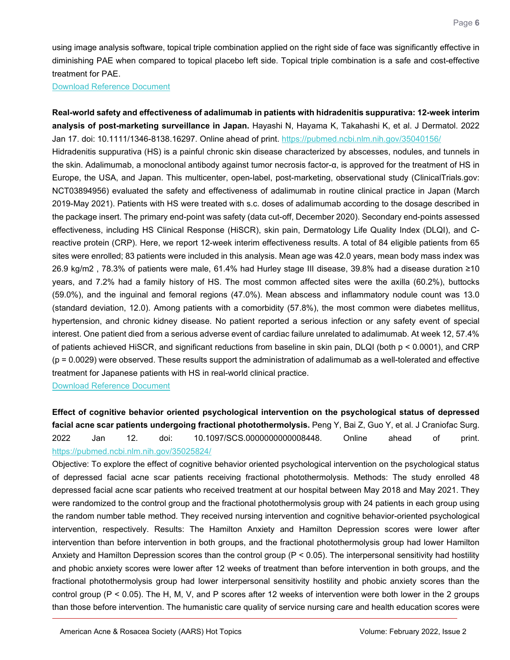using image analysis software, topical triple combination applied on the right side of face was significantly effective in diminishing PAE when compared to topical placebo left side. Topical triple combination is a safe and cost-effective treatment for PAE.

[Download Reference Document](https://files.constantcontact.com/c2fa20d1101/b5a88816-f0a1-44c6-8fd0-0219558766a3.pdf?rdr=true)

<span id="page-5-0"></span>**Real-world safety and effectiveness of adalimumab in patients with hidradenitis suppurativa: 12-week interim analysis of post-marketing surveillance in Japan.** Hayashi N, Hayama K, Takahashi K, et al. J Dermatol. 2022 Jan 17. doi: 10.1111/1346-8138.16297. Online ahead of print.<https://pubmed.ncbi.nlm.nih.gov/35040156/> Hidradenitis suppurativa (HS) is a painful chronic skin disease characterized by abscesses, nodules, and tunnels in the skin. Adalimumab, a monoclonal antibody against tumor necrosis factor-α, is approved for the treatment of HS in Europe, the USA, and Japan. This multicenter, open-label, post-marketing, observational study (ClinicalTrials.gov: NCT03894956) evaluated the safety and effectiveness of adalimumab in routine clinical practice in Japan (March 2019-May 2021). Patients with HS were treated with s.c. doses of adalimumab according to the dosage described in the package insert. The primary end-point was safety (data cut-off, December 2020). Secondary end-points assessed effectiveness, including HS Clinical Response (HiSCR), skin pain, Dermatology Life Quality Index (DLQI), and Creactive protein (CRP). Here, we report 12-week interim effectiveness results. A total of 84 eligible patients from 65 sites were enrolled; 83 patients were included in this analysis. Mean age was 42.0 years, mean body mass index was 26.9 kg/m2 , 78.3% of patients were male, 61.4% had Hurley stage III disease, 39.8% had a disease duration ≥10 years, and 7.2% had a family history of HS. The most common affected sites were the axilla (60.2%), buttocks (59.0%), and the inguinal and femoral regions (47.0%). Mean abscess and inflammatory nodule count was 13.0 (standard deviation, 12.0). Among patients with a comorbidity (57.8%), the most common were diabetes mellitus, hypertension, and chronic kidney disease. No patient reported a serious infection or any safety event of special interest. One patient died from a serious adverse event of cardiac failure unrelated to adalimumab. At week 12, 57.4% of patients achieved HiSCR, and significant reductions from baseline in skin pain, DLQI (both p < 0.0001), and CRP (p = 0.0029) were observed. These results support the administration of adalimumab as a well-tolerated and effective treatment for Japanese patients with HS in real-world clinical practice.

[Download Reference Document](https://files.constantcontact.com/c2fa20d1101/905d4e64-89f6-4ebb-a03a-a7b5cd800b20.pdf?rdr=true)

<span id="page-5-1"></span>**Effect of cognitive behavior oriented psychological intervention on the psychological status of depressed facial acne scar patients undergoing fractional photothermolysis.** Peng Y, Bai Z, Guo Y, et al. J Craniofac Surg. 2022 Jan 12. doi: 10.1097/SCS.0000000000008448. Online ahead of print. <https://pubmed.ncbi.nlm.nih.gov/35025824/>

Objective: To explore the effect of cognitive behavior oriented psychological intervention on the psychological status of depressed facial acne scar patients receiving fractional photothermolysis. Methods: The study enrolled 48 depressed facial acne scar patients who received treatment at our hospital between May 2018 and May 2021. They were randomized to the control group and the fractional photothermolysis group with 24 patients in each group using the random number table method. They received nursing intervention and cognitive behavior-oriented psychological intervention, respectively. Results: The Hamilton Anxiety and Hamilton Depression scores were lower after intervention than before intervention in both groups, and the fractional photothermolysis group had lower Hamilton Anxiety and Hamilton Depression scores than the control group (P < 0.05). The interpersonal sensitivity had hostility and phobic anxiety scores were lower after 12 weeks of treatment than before intervention in both groups, and the fractional photothermolysis group had lower interpersonal sensitivity hostility and phobic anxiety scores than the control group (P < 0.05). The H, M, V, and P scores after 12 weeks of intervention were both lower in the 2 groups than those before intervention. The humanistic care quality of service nursing care and health education scores were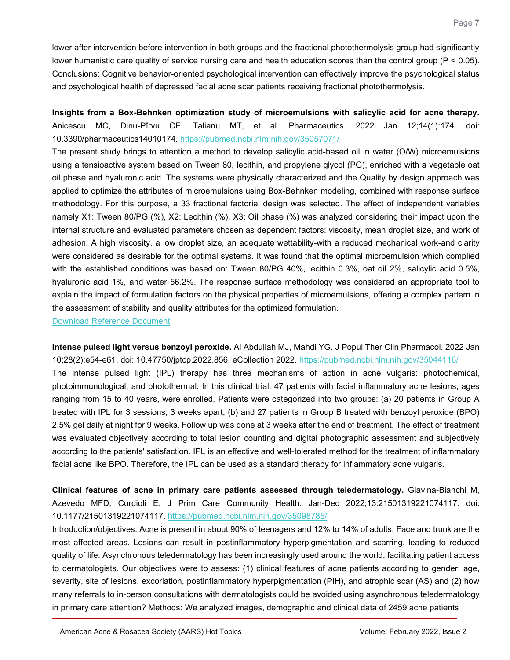lower after intervention before intervention in both groups and the fractional photothermolysis group had significantly lower humanistic care quality of service nursing care and health education scores than the control group (P < 0.05). Conclusions: Cognitive behavior-oriented psychological intervention can effectively improve the psychological status and psychological health of depressed facial acne scar patients receiving fractional photothermolysis.

<span id="page-6-0"></span>**Insights from a Box-Behnken optimization study of microemulsions with salicylic acid for acne therapy.** Anicescu MC, Dinu-Pîrvu CE, Talianu MT, et al. Pharmaceutics. 2022 Jan 12;14(1):174. doi: 10.3390/pharmaceutics14010174.<https://pubmed.ncbi.nlm.nih.gov/35057071/>

The present study brings to attention a method to develop salicylic acid-based oil in water (O/W) microemulsions using a tensioactive system based on Tween 80, lecithin, and propylene glycol (PG), enriched with a vegetable oat oil phase and hyaluronic acid. The systems were physically characterized and the Quality by design approach was applied to optimize the attributes of microemulsions using Box-Behnken modeling, combined with response surface methodology. For this purpose, a 33 fractional factorial design was selected. The effect of independent variables namely X1: Tween 80/PG (%), X2: Lecithin (%), X3: Oil phase (%) was analyzed considering their impact upon the internal structure and evaluated parameters chosen as dependent factors: viscosity, mean droplet size, and work of adhesion. A high viscosity, a low droplet size, an adequate wettability-with a reduced mechanical work-and clarity were considered as desirable for the optimal systems. It was found that the optimal microemulsion which complied with the established conditions was based on: Tween 80/PG 40%, lecithin 0.3%, oat oil 2%, salicylic acid 0.5%, hyaluronic acid 1%, and water 56.2%. The response surface methodology was considered an appropriate tool to explain the impact of formulation factors on the physical properties of microemulsions, offering a complex pattern in the assessment of stability and quality attributes for the optimized formulation.

[Download Reference Document](https://files.constantcontact.com/c2fa20d1101/c02768d6-9854-4092-a164-8e7c94222a75.pdf?rdr=true)

<span id="page-6-1"></span>**Intense pulsed light versus benzoyl peroxide.** Al Abdullah MJ, Mahdi YG. J Popul Ther Clin Pharmacol. 2022 Jan 10;28(2):e54-e61. doi: 10.47750/jptcp.2022.856. eCollection 2022.<https://pubmed.ncbi.nlm.nih.gov/35044116/> The intense pulsed light (IPL) therapy has three mechanisms of action in acne vulgaris: photochemical, photoimmunological, and photothermal. In this clinical trial, 47 patients with facial inflammatory acne lesions, ages ranging from 15 to 40 years, were enrolled. Patients were categorized into two groups: (a) 20 patients in Group A treated with IPL for 3 sessions, 3 weeks apart, (b) and 27 patients in Group B treated with benzoyl peroxide (BPO) 2.5% gel daily at night for 9 weeks. Follow up was done at 3 weeks after the end of treatment. The effect of treatment was evaluated objectively according to total lesion counting and digital photographic assessment and subjectively according to the patients' satisfaction. IPL is an effective and well-tolerated method for the treatment of inflammatory facial acne like BPO. Therefore, the IPL can be used as a standard therapy for inflammatory acne vulgaris.

<span id="page-6-2"></span>**Clinical features of acne in primary care patients assessed through teledermatology.** Giavina-Bianchi M, Azevedo MFD, Cordioli E. J Prim Care Community Health. Jan-Dec 2022;13:21501319221074117. doi: 10.1177/21501319221074117.<https://pubmed.ncbi.nlm.nih.gov/35098785/>

Introduction/objectives: Acne is present in about 90% of teenagers and 12% to 14% of adults. Face and trunk are the most affected areas. Lesions can result in postinflammatory hyperpigmentation and scarring, leading to reduced quality of life. Asynchronous teledermatology has been increasingly used around the world, facilitating patient access to dermatologists. Our objectives were to assess: (1) clinical features of acne patients according to gender, age, severity, site of lesions, excoriation, postinflammatory hyperpigmentation (PIH), and atrophic scar (AS) and (2) how many referrals to in-person consultations with dermatologists could be avoided using asynchronous teledermatology in primary care attention? Methods: We analyzed images, demographic and clinical data of 2459 acne patients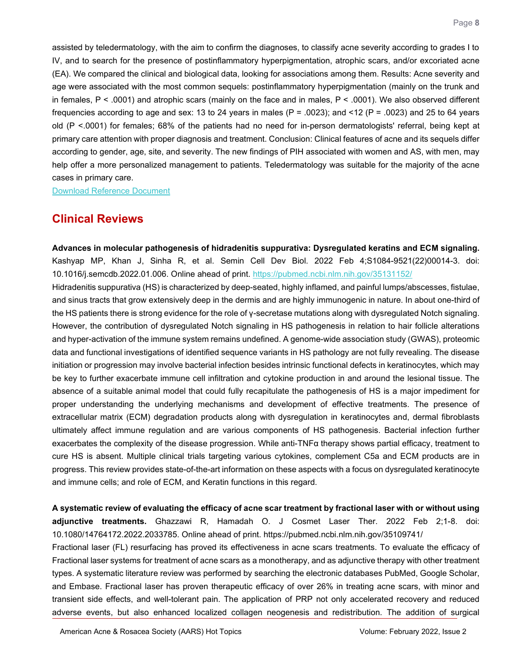assisted by teledermatology, with the aim to confirm the diagnoses, to classify acne severity according to grades I to IV, and to search for the presence of postinflammatory hyperpigmentation, atrophic scars, and/or excoriated acne (EA). We compared the clinical and biological data, looking for associations among them. Results: Acne severity and age were associated with the most common sequels: postinflammatory hyperpigmentation (mainly on the trunk and in females, P < .0001) and atrophic scars (mainly on the face and in males, P < .0001). We also observed different frequencies according to age and sex: 13 to 24 years in males (P = .0023); and <12 (P = .0023) and 25 to 64 years old (P <.0001) for females; 68% of the patients had no need for in-person dermatologists' referral, being kept at primary care attention with proper diagnosis and treatment. Conclusion: Clinical features of acne and its sequels differ according to gender, age, site, and severity. The new findings of PIH associated with women and AS, with men, may help offer a more personalized management to patients. Teledermatology was suitable for the majority of the acne cases in primary care.

[Download Reference Document](https://files.constantcontact.com/c2fa20d1101/c76d7213-4efd-495f-b31c-ae7e879a4c12.pdf?rdr=true)

## **Clinical Reviews**

<span id="page-7-0"></span>**Advances in molecular pathogenesis of hidradenitis suppurativa: Dysregulated keratins and ECM signaling.** Kashyap MP, Khan J, Sinha R, et al. Semin Cell Dev Biol. 2022 Feb 4;S1084-9521(22)00014-3. doi: 10.1016/j.semcdb.2022.01.006. Online ahead of print.<https://pubmed.ncbi.nlm.nih.gov/35131152/>

Hidradenitis suppurativa (HS) is characterized by deep-seated, highly inflamed, and painful lumps/abscesses, fistulae, and sinus tracts that grow extensively deep in the dermis and are highly immunogenic in nature. In about one-third of the HS patients there is strong evidence for the role of γ-secretase mutations along with dysregulated Notch signaling. However, the contribution of dysregulated Notch signaling in HS pathogenesis in relation to hair follicle alterations and hyper-activation of the immune system remains undefined. A genome-wide association study (GWAS), proteomic data and functional investigations of identified sequence variants in HS pathology are not fully revealing. The disease initiation or progression may involve bacterial infection besides intrinsic functional defects in keratinocytes, which may be key to further exacerbate immune cell infiltration and cytokine production in and around the lesional tissue. The absence of a suitable animal model that could fully recapitulate the pathogenesis of HS is a major impediment for proper understanding the underlying mechanisms and development of effective treatments. The presence of extracellular matrix (ECM) degradation products along with dysregulation in keratinocytes and, dermal fibroblasts ultimately affect immune regulation and are various components of HS pathogenesis. Bacterial infection further exacerbates the complexity of the disease progression. While anti-TNFα therapy shows partial efficacy, treatment to cure HS is absent. Multiple clinical trials targeting various cytokines, complement C5a and ECM products are in progress. This review provides state-of-the-art information on these aspects with a focus on dysregulated keratinocyte and immune cells; and role of ECM, and Keratin functions in this regard.

<span id="page-7-1"></span>**A systematic review of evaluating the efficacy of acne scar treatment by fractional laser with or without using adjunctive treatments.** Ghazzawi R, Hamadah O. J Cosmet Laser Ther. 2022 Feb 2;1-8. doi: 10.1080/14764172.2022.2033785. Online ahead of print. https://pubmed.ncbi.nlm.nih.gov/35109741/

Fractional laser (FL) resurfacing has proved its effectiveness in acne scars treatments. To evaluate the efficacy of Fractional laser systems for treatment of acne scars as a monotherapy, and as adjunctive therapy with other treatment types. A systematic literature review was performed by searching the electronic databases PubMed, Google Scholar, and Embase. Fractional laser has proven therapeutic efficacy of over 26% in treating acne scars, with minor and transient side effects, and well-tolerant pain. The application of PRP not only accelerated recovery and reduced adverse events, but also enhanced localized collagen neogenesis and redistribution. The addition of surgical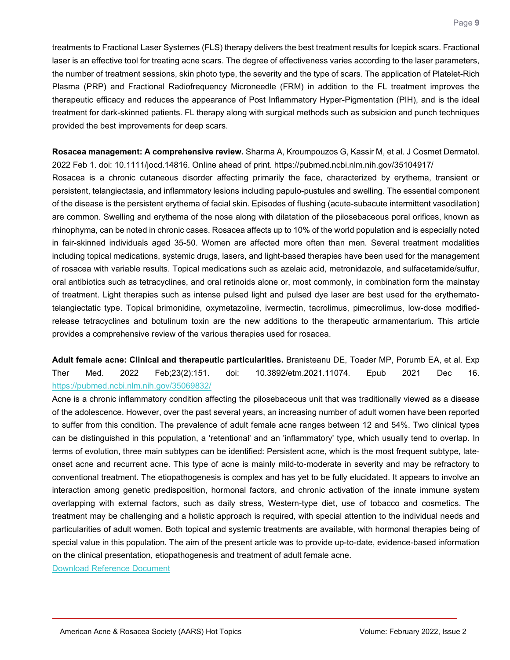treatments to Fractional Laser Systemes (FLS) therapy delivers the best treatment results for Icepick scars. Fractional laser is an effective tool for treating acne scars. The degree of effectiveness varies according to the laser parameters, the number of treatment sessions, skin photo type, the severity and the type of scars. The application of Platelet-Rich Plasma (PRP) and Fractional Radiofrequency Microneedle (FRM) in addition to the FL treatment improves the therapeutic efficacy and reduces the appearance of Post Inflammatory Hyper-Pigmentation (PIH), and is the ideal treatment for dark-skinned patients. FL therapy along with surgical methods such as subsicion and punch techniques provided the best improvements for deep scars.

<span id="page-8-0"></span>**Rosacea management: A comprehensive review.** Sharma A, Kroumpouzos G, Kassir M, et al. J Cosmet Dermatol. 2022 Feb 1. doi: 10.1111/jocd.14816. Online ahead of print. https://pubmed.ncbi.nlm.nih.gov/35104917/

Rosacea is a chronic cutaneous disorder affecting primarily the face, characterized by erythema, transient or persistent, telangiectasia, and inflammatory lesions including papulo-pustules and swelling. The essential component of the disease is the persistent erythema of facial skin. Episodes of flushing (acute-subacute intermittent vasodilation) are common. Swelling and erythema of the nose along with dilatation of the pilosebaceous poral orifices, known as rhinophyma, can be noted in chronic cases. Rosacea affects up to 10% of the world population and is especially noted in fair-skinned individuals aged 35-50. Women are affected more often than men. Several treatment modalities including topical medications, systemic drugs, lasers, and light-based therapies have been used for the management of rosacea with variable results. Topical medications such as azelaic acid, metronidazole, and sulfacetamide/sulfur, oral antibiotics such as tetracyclines, and oral retinoids alone or, most commonly, in combination form the mainstay of treatment. Light therapies such as intense pulsed light and pulsed dye laser are best used for the erythematotelangiectatic type. Topical brimonidine, oxymetazoline, ivermectin, tacrolimus, pimecrolimus, low-dose modifiedrelease tetracyclines and botulinum toxin are the new additions to the therapeutic armamentarium. This article provides a comprehensive review of the various therapies used for rosacea.

<span id="page-8-1"></span>**Adult female acne: Clinical and therapeutic particularities.** Branisteanu DE, Toader MP, Porumb EA, et al. Exp Ther Med. 2022 Feb;23(2):151. doi: 10.3892/etm.2021.11074. Epub 2021 Dec 16. <https://pubmed.ncbi.nlm.nih.gov/35069832/>

Acne is a chronic inflammatory condition affecting the pilosebaceous unit that was traditionally viewed as a disease of the adolescence. However, over the past several years, an increasing number of adult women have been reported to suffer from this condition. The prevalence of adult female acne ranges between 12 and 54%. Two clinical types can be distinguished in this population, a 'retentional' and an 'inflammatory' type, which usually tend to overlap. In terms of evolution, three main subtypes can be identified: Persistent acne, which is the most frequent subtype, lateonset acne and recurrent acne. This type of acne is mainly mild-to-moderate in severity and may be refractory to conventional treatment. The etiopathogenesis is complex and has yet to be fully elucidated. It appears to involve an interaction among genetic predisposition, hormonal factors, and chronic activation of the innate immune system overlapping with external factors, such as daily stress, Western-type diet, use of tobacco and cosmetics. The treatment may be challenging and a holistic approach is required, with special attention to the individual needs and particularities of adult women. Both topical and systemic treatments are available, with hormonal therapies being of special value in this population. The aim of the present article was to provide up-to-date, evidence-based information on the clinical presentation, etiopathogenesis and treatment of adult female acne.

[Download Reference Document](https://files.constantcontact.com/c2fa20d1101/954405e7-9f6b-460c-b9dc-0fef94cd4d56.pdf?rdr=true)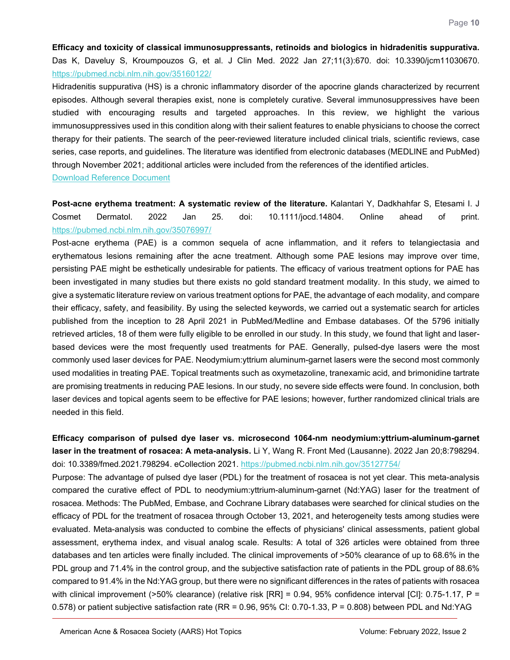<span id="page-9-0"></span>**Efficacy and toxicity of classical immunosuppressants, retinoids and biologics in hidradenitis suppurativa.** Das K, Daveluy S, Kroumpouzos G, et al. J Clin Med. 2022 Jan 27;11(3):670. doi: 10.3390/jcm11030670. <https://pubmed.ncbi.nlm.nih.gov/35160122/>

Hidradenitis suppurativa (HS) is a chronic inflammatory disorder of the apocrine glands characterized by recurrent episodes. Although several therapies exist, none is completely curative. Several immunosuppressives have been studied with encouraging results and targeted approaches. In this review, we highlight the various immunosuppressives used in this condition along with their salient features to enable physicians to choose the correct therapy for their patients. The search of the peer-reviewed literature included clinical trials, scientific reviews, case series, case reports, and guidelines. The literature was identified from electronic databases (MEDLINE and PubMed) through November 2021; additional articles were included from the references of the identified articles.

[Download Reference Document](https://files.constantcontact.com/c2fa20d1101/1d10a67d-681c-40b5-abe7-6c9e435fcaaa.pdf?rdr=true)

<span id="page-9-1"></span>**Post-acne erythema treatment: A systematic review of the literature.** Kalantari Y, Dadkhahfar S, Etesami I. J Cosmet Dermatol. 2022 Jan 25. doi: 10.1111/jocd.14804. Online ahead of print. <https://pubmed.ncbi.nlm.nih.gov/35076997/>

Post-acne erythema (PAE) is a common sequela of acne inflammation, and it refers to telangiectasia and erythematous lesions remaining after the acne treatment. Although some PAE lesions may improve over time, persisting PAE might be esthetically undesirable for patients. The efficacy of various treatment options for PAE has been investigated in many studies but there exists no gold standard treatment modality. In this study, we aimed to give a systematic literature review on various treatment options for PAE, the advantage of each modality, and compare their efficacy, safety, and feasibility. By using the selected keywords, we carried out a systematic search for articles published from the inception to 28 April 2021 in PubMed/Medline and Embase databases. Of the 5796 initially retrieved articles, 18 of them were fully eligible to be enrolled in our study. In this study, we found that light and laserbased devices were the most frequently used treatments for PAE. Generally, pulsed-dye lasers were the most commonly used laser devices for PAE. Neodymium:yttrium aluminum-garnet lasers were the second most commonly used modalities in treating PAE. Topical treatments such as oxymetazoline, tranexamic acid, and brimonidine tartrate are promising treatments in reducing PAE lesions. In our study, no severe side effects were found. In conclusion, both laser devices and topical agents seem to be effective for PAE lesions; however, further randomized clinical trials are needed in this field.

<span id="page-9-2"></span>**Efficacy comparison of pulsed dye laser vs. microsecond 1064-nm neodymium:yttrium-aluminum-garnet laser in the treatment of rosacea: A meta-analysis.** Li Y, Wang R. Front Med (Lausanne). 2022 Jan 20;8:798294. doi: 10.3389/fmed.2021.798294. eCollection 2021.<https://pubmed.ncbi.nlm.nih.gov/35127754/>

Purpose: The advantage of pulsed dye laser (PDL) for the treatment of rosacea is not yet clear. This meta-analysis compared the curative effect of PDL to neodymium:yttrium-aluminum-garnet (Nd:YAG) laser for the treatment of rosacea. Methods: The PubMed, Embase, and Cochrane Library databases were searched for clinical studies on the efficacy of PDL for the treatment of rosacea through October 13, 2021, and heterogeneity tests among studies were evaluated. Meta-analysis was conducted to combine the effects of physicians' clinical assessments, patient global assessment, erythema index, and visual analog scale. Results: A total of 326 articles were obtained from three databases and ten articles were finally included. The clinical improvements of >50% clearance of up to 68.6% in the PDL group and 71.4% in the control group, and the subjective satisfaction rate of patients in the PDL group of 88.6% compared to 91.4% in the Nd:YAG group, but there were no significant differences in the rates of patients with rosacea with clinical improvement (>50% clearance) (relative risk  $[RR] = 0.94$ , 95% confidence interval [CI]: 0.75-1.17, P = 0.578) or patient subjective satisfaction rate (RR = 0.96, 95% CI: 0.70-1.33, P = 0.808) between PDL and Nd:YAG